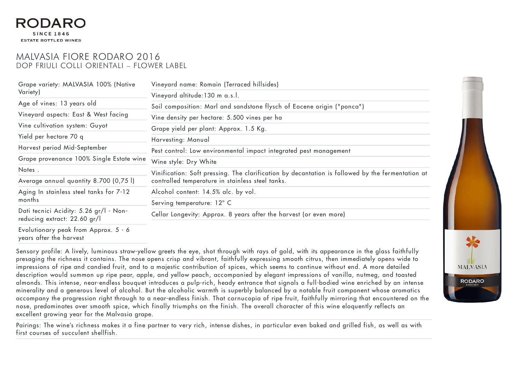## **SINCE 1846 ESTATE BOTTLED WINES**

## MALVASIA FIORE RODARO 2016 DOP FRIULI COLLI ORIENTALI – FLOWER LABEL

| Grape variety: MALVASIA 100% (Native<br>Variety)                       | Vineyard name: Romain (Terraced hillsides)                                                                                                                                                                                                                                                                                                                                                                                                   |
|------------------------------------------------------------------------|----------------------------------------------------------------------------------------------------------------------------------------------------------------------------------------------------------------------------------------------------------------------------------------------------------------------------------------------------------------------------------------------------------------------------------------------|
|                                                                        | Vineyard altitude: 130 m a.s.l.                                                                                                                                                                                                                                                                                                                                                                                                              |
| Age of vines: 13 years old                                             | Soil composition: Marl and sandstone flysch of Eocene origin ("ponca")<br>Vine density per hectare: 5.500 vines per ha<br>Grape yield per plant: Approx. 1.5 Kg.<br>Harvesting: Manual<br>Pest control: Low environmental impact integrated pest management<br>Wine style: Dry White<br>Vinification: Soft pressing. The clarification by decantation is followed by the fermentation at<br>controlled temperature in stainless steel tanks. |
| Vineyard aspects: East & West facing                                   |                                                                                                                                                                                                                                                                                                                                                                                                                                              |
| Vine cultivation system: Guyot                                         |                                                                                                                                                                                                                                                                                                                                                                                                                                              |
| Yield per hectare 70 q                                                 |                                                                                                                                                                                                                                                                                                                                                                                                                                              |
| Harvest period Mid-September                                           |                                                                                                                                                                                                                                                                                                                                                                                                                                              |
| Grape provenance 100% Single Estate wine                               |                                                                                                                                                                                                                                                                                                                                                                                                                                              |
| Notes.                                                                 |                                                                                                                                                                                                                                                                                                                                                                                                                                              |
| Average annual quantity 8.700 (0,75 l)                                 |                                                                                                                                                                                                                                                                                                                                                                                                                                              |
| Aging In stainless steel tanks for 7-12<br>months                      | Alcohol content: 14.5% alc. by vol.                                                                                                                                                                                                                                                                                                                                                                                                          |
|                                                                        | Serving temperature: 12° C                                                                                                                                                                                                                                                                                                                                                                                                                   |
| Dati tecnici Acidity: 5.26 gr/l - Non-<br>reducing extract: 22.60 gr/l | Cellar Longevity: Approx. 8 years after the harvest (or even more)                                                                                                                                                                                                                                                                                                                                                                           |
| Evolutionary peak from Approx. 5 - 6                                   |                                                                                                                                                                                                                                                                                                                                                                                                                                              |

years after the harvest

Sensory profile: A lively, luminous straw-yellow greets the eye, shot through with rays of gold, with its appearance in the glass faithfully presaging the richness it contains. The nose opens crisp and vibrant, faithfully expressing smooth citrus, then immediately opens wide to impressions of ripe and candied fruit, and to a majestic contribution of spices, which seems to continue without end. A more detailed description would summon up ripe pear, apple, and yellow peach, accompanied by elegant impressions of vanilla, nutmeg, and toasted almonds. This intense, near-endless bouquet introduces a pulp-rich, heady entrance that signals a full-bodied wine enriched by an intense minerality and a generous level of alcohol. But the alcoholic warmth is superbly balanced by a notable fruit component whose aromatics accompany the progression right through to a near-endless finish. That cornucopia of ripe fruit, faithfully mirroring that encountered on the nose, predominates over smooth spice, which finally triumphs on the finish. The overall character of this wine eloquently reflects an excellent growing year for the Malvasia grape.

Pairings: The wine's richness makes it a fine partner to very rich, intense dishes, in particular even baked and grilled fish, as well as with first courses of succulent shellfish.